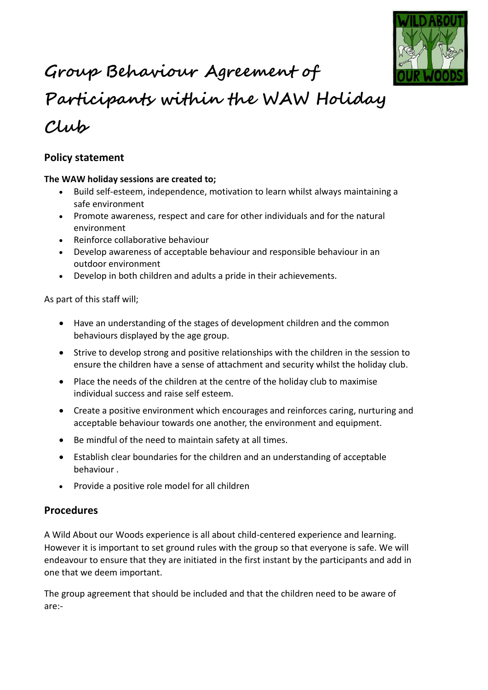

# **Group Behaviour Agreement of**

# **Participants within the WAW Holiday Club**

# **Policy statement**

#### **The WAW holiday sessions are created to;**

- Build self-esteem, independence, motivation to learn whilst always maintaining a safe environment
- Promote awareness, respect and care for other individuals and for the natural environment
- Reinforce collaborative behaviour
- Develop awareness of acceptable behaviour and responsible behaviour in an outdoor environment
- Develop in both children and adults a pride in their achievements.

As part of this staff will;

- Have an understanding of the stages of development children and the common behaviours displayed by the age group.
- Strive to develop strong and positive relationships with the children in the session to ensure the children have a sense of attachment and security whilst the holiday club.
- Place the needs of the children at the centre of the holiday club to maximise individual success and raise self esteem.
- Create a positive environment which encourages and reinforces caring, nurturing and acceptable behaviour towards one another, the environment and equipment.
- Be mindful of the need to maintain safety at all times.
- Establish clear boundaries for the children and an understanding of acceptable behaviour .
- Provide a positive role model for all children

## **Procedures**

A Wild About our Woods experience is all about child-centered experience and learning. However it is important to set ground rules with the group so that everyone is safe. We will endeavour to ensure that they are initiated in the first instant by the participants and add in one that we deem important.

The group agreement that should be included and that the children need to be aware of are:-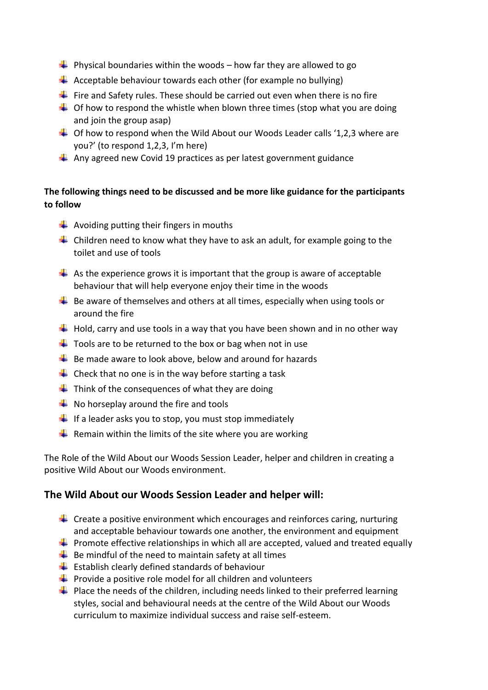- $\downarrow$  Physical boundaries within the woods how far they are allowed to go
- $\downarrow$  Acceptable behaviour towards each other (for example no bullying)
- $\frac{1}{\sqrt{2}}$  Fire and Safety rules. These should be carried out even when there is no fire
- $\downarrow$  Of how to respond the whistle when blown three times (stop what you are doing and join the group asap)
- $\downarrow$  Of how to respond when the Wild About our Woods Leader calls '1,2,3 where are you?' (to respond 1,2,3, I'm here)
- $\downarrow$  Any agreed new Covid 19 practices as per latest government guidance

#### **The following things need to be discussed and be more like guidance for the participants to follow**

- $\triangleq$  Avoiding putting their fingers in mouths
- $\ddot{+}$  Children need to know what they have to ask an adult, for example going to the toilet and use of tools
- $\downarrow$  As the experience grows it is important that the group is aware of acceptable behaviour that will help everyone enjoy their time in the woods
- $\ddot{\bullet}$  Be aware of themselves and others at all times, especially when using tools or around the fire
- $\downarrow$  Hold, carry and use tools in a way that you have been shown and in no other way
- $\frac{1}{2}$  Tools are to be returned to the box or bag when not in use
- $\frac{1}{2}$  Be made aware to look above, below and around for hazards
- $\downarrow$  Check that no one is in the way before starting a task
- $\downarrow$  Think of the consequences of what they are doing
- $\bigstar$  No horseplay around the fire and tools
- $\downarrow$  If a leader asks you to stop, you must stop immediately
- **F** Remain within the limits of the site where you are working

The Role of the Wild About our Woods Session Leader, helper and children in creating a positive Wild About our Woods environment.

#### **The Wild About our Woods Session Leader and helper will:**

- $\ddot{\bullet}$  Create a positive environment which encourages and reinforces caring, nurturing and acceptable behaviour towards one another, the environment and equipment
- **Promote effective relationships in which all are accepted, valued and treated equally**
- $\frac{1}{2}$  Be mindful of the need to maintain safety at all times
- $\bigstar$  Establish clearly defined standards of behaviour
- $\downarrow$  Provide a positive role model for all children and volunteers
- $\ddot{\phantom{1}}$  Place the needs of the children, including needs linked to their preferred learning styles, social and behavioural needs at the centre of the Wild About our Woods curriculum to maximize individual success and raise self-esteem.